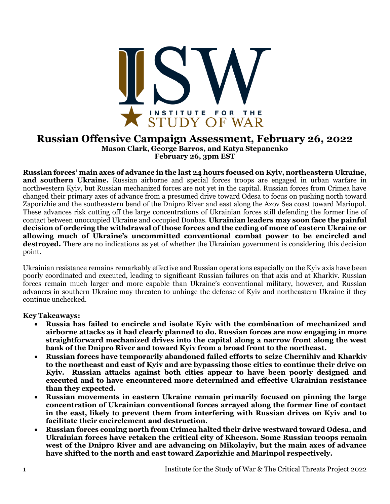

## **Russian Offensive Campaign Assessment, February 26, 2022 Mason Clark, George Barros, and Katya Stepanenko February 26, 3pm EST**

**Russian forces' main axes of advance in the last 24 hours focused on Kyiv, northeastern Ukraine, and southern Ukraine.** Russian airborne and special forces troops are engaged in urban warfare in northwestern Kyiv, but Russian mechanized forces are not yet in the capital. Russian forces from Crimea have changed their primary axes of advance from a presumed drive toward Odesa to focus on pushing north toward Zaporizhie and the southeastern bend of the Dnipro River and east along the Azov Sea coast toward Mariupol. These advances risk cutting off the large concentrations of Ukrainian forces still defending the former line of contact between unoccupied Ukraine and occupied Donbas. **Ukrainian leaders may soon face the painful decision of ordering the withdrawal of those forces and the ceding of more of eastern Ukraine or allowing much of Ukraine's uncommitted conventional combat power to be encircled and destroyed.** There are no indications as yet of whether the Ukrainian government is considering this decision point.

Ukrainian resistance remains remarkably effective and Russian operations especially on the Kyiv axis have been poorly coordinated and executed, leading to significant Russian failures on that axis and at Kharkiv. Russian forces remain much larger and more capable than Ukraine's conventional military, however, and Russian advances in southern Ukraine may threaten to unhinge the defense of Kyiv and northeastern Ukraine if they continue unchecked.

## **Key Takeaways:**

- **Russia has failed to encircle and isolate Kyiv with the combination of mechanized and airborne attacks as it had clearly planned to do. Russian forces are now engaging in more straightforward mechanized drives into the capital along a narrow front along the west bank of the Dnipro River and toward Kyiv from a broad front to the northeast.**
- **Russian forces have temporarily abandoned failed efforts to seize Chernihiv and Kharkiv to the northeast and east of Kyiv and are bypassing those cities to continue their drive on Kyiv. Russian attacks against both cities appear to have been poorly designed and executed and to have encountered more determined and effective Ukrainian resistance than they expected.**
- **Russian movements in eastern Ukraine remain primarily focused on pinning the large concentration of Ukrainian conventional forces arrayed along the former line of contact in the east, likely to prevent them from interfering with Russian drives on Kyiv and to facilitate their encirclement and destruction.**
- **Russian forces coming north from Crimea halted their drive westward toward Odesa, and Ukrainian forces have retaken the critical city of Kherson. Some Russian troops remain west of the Dnipro River and are advancing on Mikolayiv, but the main axes of advance have shifted to the north and east toward Zaporizhie and Mariupol respectively.**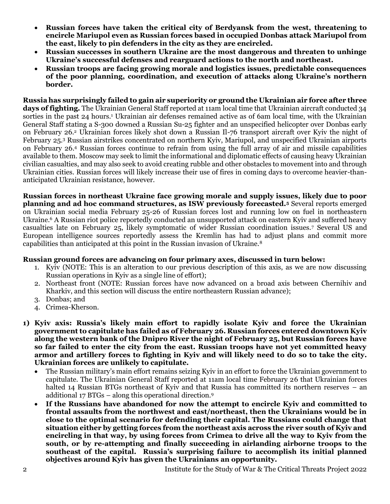- **Russian forces have taken the critical city of Berdyansk from the west, threatening to encircle Mariupol even as Russian forces based in occupied Donbas attack Mariupol from the east, likely to pin defenders in the city as they are encircled.**
- **Russian successes in southern Ukraine are the most dangerous and threaten to unhinge Ukraine's successful defenses and rearguard actions to the north and northeast.**
- **Russian troops are facing growing morale and logistics issues, predictable consequences of the poor planning, coordination, and execution of attacks along Ukraine's northern border.**

**Russia has surprisingly failed to gain air superiority or ground the Ukrainian air force after three days of fighting.** The Ukrainian General Staff reported at 11am local time that Ukrainian aircraft conducted 34 sorties in the past 24 hours.<sup>1</sup> Ukrainian air defenses remained active as of 6am local time, with the Ukrainian General Staff stating a S-300 downed a Russian Su-25 fighter and an unspecified helicopter over Donbas early on February 26.<sup>2</sup> Ukrainian forces likely shot down a Russian Il-76 transport aircraft over Kyiv the night of February 25.<sup>3</sup> Russian airstrikes concentrated on northern Kyiv, Mariupol, and unspecified Ukrainian airports on February 26.<sup>4</sup> Russian forces continue to refrain from using the full array of air and missile capabilities available to them. Moscow may seek to limit the informational and diplomatic effects of causing heavy Ukrainian civilian casualties, and may also seek to avoid creating rubble and other obstacles to movement into and through Ukrainian cities. Russian forces will likely increase their use of fires in coming days to overcome heavier-thananticipated Ukrainian resistance, however.

**Russian forces in northeast Ukraine face growing morale and supply issues, likely due to poor planning and ad hoc command structures, as ISW previously forecasted.<sup>5</sup>** Several reports emerged on Ukrainian social media February 25-26 of Russian forces lost and running low on fuel in northeastern Ukraine.<sup>6</sup> A Russian riot police reportedly conducted an unsupported attack on eastern Kyiv and suffered heavy casualties late on February 25, likely symptomatic of wider Russian coordination issues.<sup>7</sup> Several US and European intelligence sources reportedly assess the Kremlin has had to adjust plans and commit more capabilities than anticipated at this point in the Russian invasion of Ukraine.<sup>8</sup>

## **Russian ground forces are advancing on four primary axes, discussed in turn below:**

- 1. Kyiv (NOTE: This is an alteration to our previous description of this axis, as we are now discussing Russian operations in Kyiv as a single line of effort);
- 2. Northeast front (NOTE: Russian forces have now advanced on a broad axis between Chernihiv and Kharkiv, and this section will discuss the entire northeastern Russian advance);
- 3. Donbas; and
- 4. Crimea-Kherson.
- **1) Kyiv axis: Russia's likely main effort to rapidly isolate Kyiv and force the Ukrainian government to capitulate has failed as of February 26. Russian forces entered downtown Kyiv along the western bank of the Dnipro River the night of February 25, but Russian forces have so far failed to enter the city from the east. Russian troops have not yet committed heavy armor and artillery forces to fighting in Kyiv and will likely need to do so to take the city. Ukrainian forces are unlikely to capitulate.** 
	- The Russian military's main effort remains seizing Kyiv in an effort to force the Ukrainian government to capitulate. The Ukrainian General Staff reported at 11am local time February 26 that Ukrainian forces halted 14 Russian BTGs northeast of Kyiv and that Russia has committed its northern reserves – an additional 17 BTGs – along this operational direction.<sup>9</sup>
	- **If the Russians have abandoned for now the attempt to encircle Kyiv and committed to frontal assaults from the northwest and east/northeast, then the Ukrainians would be in close to the optimal scenario for defending their capital. The Russians could change that situation either by getting forces from the northeast axis across the river south of Kyiv and encircling in that way, by using forces from Crimea to drive all the way to Kyiv from the south, or by re-attempting and finally succeeding in airlanding airborne troops to the southeast of the capital. Russia's surprising failure to accomplish its initial planned objectives around Kyiv has given the Ukrainians an opportunity.**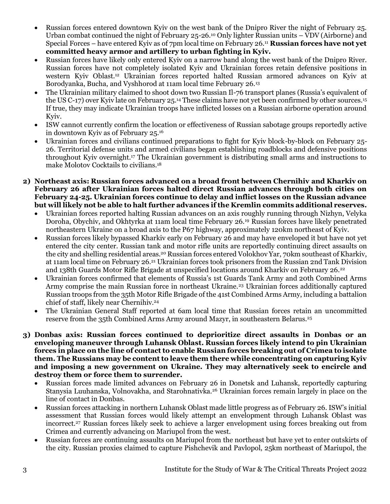- Russian forces entered downtown Kyiv on the west bank of the Dnipro River the night of February 25. Urban combat continued the night of February 25-26.<sup>10</sup> Only lighter Russian units – VDV (Airborne) and Special Forces – have entered Kyiv as of 7pm local time on February 26.<sup>11</sup> **Russian forces have not yet committed heavy armor and artillery to urban fighting in Kyiv.**
- Russian forces have likely only entered Kyiv on a narrow band along the west bank of the Dnipro River. Russian forces have not completely isolated Kyiv and Ukrainian forces retain defensive positions in western Kyiv Oblast.<sup>12</sup> Ukrainian forces reported halted Russian armored advances on Kyiv at Borodyanka, Bucha, and Vyshhorod at 11am local time February 26.<sup>13</sup>
- The Ukrainian military claimed to shoot down two Russian Il-76 transport planes (Russia's equivalent of the US C-17) over Kyiv late on February 25.<sup>14</sup> These claims have not yet been confirmed by other sources.<sup>15</sup> If true, they may indicate Ukrainian troops have inflicted losses on a Russian airborne operation around Kyiv.
- ISW cannot currently confirm the location or effectiveness of Russian sabotage groups reportedly active in downtown Kyiv as of February 25.<sup>16</sup>
- Ukrainian forces and civilians continued preparations to fight for Kyiv block-by-block on February 25- 26. Territorial defense units and armed civilians began establishing roadblocks and defensive positions throughout Kyiv overnight.<sup>17</sup> The Ukrainian government is distributing small arms and instructions to make Molotov Cocktails to civilians.<sup>18</sup>
- **2) Northeast axis: Russian forces advanced on a broad front between Chernihiv and Kharkiv on February 26 after Ukrainian forces halted direct Russian advances through both cities on February 24-25. Ukrainian forces continue to delay and inflict losses on the Russian advance but will likely not be able to halt further advances if the Kremlin commits additional reserves.** 
	- Ukrainian forces reported halting Russian advances on an axis roughly running through Nizhyn, Velyka Doroha, Obychiv, and Okhtyrka at 11am local time February 26.<sup>19</sup> Russian forces have likely penetrated northeastern Ukraine on a broad axis to the P67 highway, approximately 120km northeast of Kyiv.
	- Russian forces likely bypassed Kharkiv early on February 26 and may have enveloped it but have not yet entered the city center. Russian tank and motor rifle units are reportedly continuing direct assaults on the city and shelling residential areas.<sup>20</sup> Russian forces entered Volokhov Yar, 70km southeast of Kharkiv, at 11am local time on February 26.<sup>21</sup> Ukrainian forces took prisoners from the Russian 2nd Tank Division and 138th Guards Motor Rifle Brigade at unspecified locations around Kharkiv on February 26.<sup>22</sup>
	- Ukrainian forces confirmed that elements of Russia's 1st Guards Tank Army and 20th Combined Arms Army comprise the main Russian force in northeast Ukraine.<sup>23</sup> Ukrainian forces additionally captured Russian troops from the 35th Motor Rifle Brigade of the 41st Combined Arms Army, including a battalion chief of staff, likely near Chernihiv.<sup>24</sup>
	- The Ukrainian General Staff reported at 6am local time that Russian forces retain an uncommitted reserve from the 35th Combined Arms Army around Mazyr, in southeastern Belarus.<sup>25</sup>
- **3) Donbas axis: Russian forces continued to deprioritize direct assaults in Donbas or an enveloping maneuver through Luhansk Oblast. Russian forces likely intend to pin Ukrainian forces in place on the line of contact to enable Russian forces breaking out of Crimea to isolate them. The Russians may be content to leave them there while concentrating on capturing Kyiv and imposing a new government on Ukraine. They may alternatively seek to encircle and destroy them or force them to surrender.**
	- Russian forces made limited advances on February 26 in Donetsk and Luhansk, reportedly capturing Stanysia Luuhanska, Volnovakha, and Starohnativka.<sup>26</sup> Ukrainian forces remain largely in place on the line of contact in Donbas.
	- Russian forces attacking in northern Luhansk Oblast made little progress as of February 26. ISW's initial assessment that Russian forces would likely attempt an envelopment through Luhansk Oblast was incorrect.<sup>27</sup> Russian forces likely seek to achieve a larger envelopment using forces breaking out from Crimea and currently advancing on Mariupol from the west.
	- Russian forces are continuing assaults on Mariupol from the northeast but have yet to enter outskirts of the city. Russian proxies claimed to capture Pishchevik and Pavlopol, 25km northeast of Mariupol, the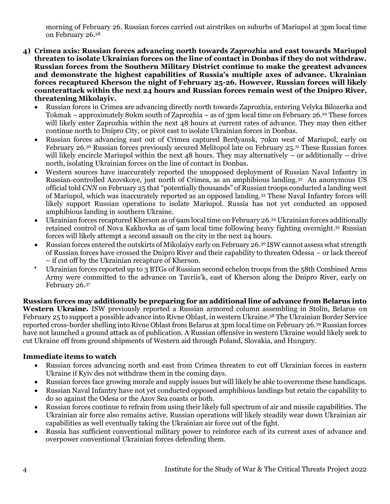morning of February 26. Russian forces carried out airstrikes on suburbs of Mariupol at 3pm local time on February 26.<sup>28</sup>

- **4) Crimea axis: Russian forces advancing north towards Zaprozhia and east towards Mariupol threaten to isolate Ukrainian forces on the line of contact in Donbas if they do not withdraw. Russian forces from the Southern Military District continue to make the greatest advances and demonstrate the highest capabilities of Russia's multiple axes of advance. Ukrainian forces recaptured Kherson the night of February 25-26. However, Russian forces will likely counterattack within the next 24 hours and Russian forces remain west of the Dnipro River, threatening Mikolayiv.** 
	- Russian forces in Crimea are advancing directly north towards Zaprozhia, entering Velyka Bilozerka and Tokmak – approximately 80km south of Zaprozhia – as of 3pm local time on February 26.<sup>29</sup> These forces will likely enter Zaprozhia within the next 48 hours at current rates of advance. They may then either continue north to Dnipro City, or pivot east to isolate Ukrainian forces in Donbas.
	- Russian forces advancing east out of Crimea captured Berdyansk, 70km west of Mariupol, early on February 26.<sup>30</sup> Russian forces previously secured Melitopol late on February 25.<sup>31</sup> These Russian forces will likely encircle Mariupol within the next 48 hours. They may alternatively – or additionally – drive north, isolating Ukrainian forces on the line of contact in Donbas.
	- Western sources have inaccurately reported the unopposed deployment of Russian Naval Infantry in Russian-controlled Azovskoye, just north of Crimea, as an amphibious landing.<sup>32</sup> An anonymous US official told *CNN* on February 25 that "potentially thousands" of Russian troops conducted a landing west of Mariupol, which was inaccurately reported as an opposed landing.<sup>33</sup> These Naval Infantry forces will likely support Russian operations to isolate Mariupol. Russia has not yet conducted an opposed amphibious landing in southern Ukraine.
	- Ukrainian forces recaptured Kherson as of 9am local time on February 26.<sup>34</sup> Ukrainian forces additionally retained control of Nova Kakhovka as of 9am local time following heavy fighting overnight.<sup>35</sup> Russian forces will likely attempt a second assault on the city in the next 24 hours.
	- Russian forces entered the outskirts of Mikolaiyv early on February 26.<sup>36</sup> ISW cannot assess what strength of Russian forces have crossed the Dnipro River and their capability to threaten Odessa – or lack thereof – if cut off by the Ukrainian recapture of Kherson.
	- Ukrainian forces reported up to 3 BTGs of Russian second echelon troops from the 58th Combined Arms Army were committed to the advance on Tavriis'k, east of Kherson along the Dnipro River, early on February 26.<sup>37</sup>

**Russian forces may additionally be preparing for an additional line of advance from Belarus into Western Ukraine.** ISW previously reported a Russian armored column assembling in Stolin, Belarus on February 25 to support a possible advance into Rivne Oblast, in western Ukraine.<sup>38</sup> The Ukrainian Border Service reported cross-border shelling into Rivne Oblast from Belarus at 3pm local time on February 26.<sup>39</sup> Russian forces have not launched a ground attack as of publication. A Russian offensive in western Ukraine would likely seek to cut Ukraine off from ground shipments of Western aid through Poland, Slovakia, and Hungary.

## **Immediate items to watch**

- Russian forces advancing north and east from Crimea threaten to cut off Ukrainian forces in eastern Ukraine if Kyiv des not withdraw them in the coming days.
- Russian forces face growing morale and supply issues but will likely be able to overcome these handicaps.
- Russian Naval Infantry have not yet conducted opposed amphibious landings but retain the capability to do so against the Odesa or the Azov Sea coasts or both.
- Russian forces continue to refrain from using their likely full spectrum of air and missile capabilities. The Ukrainian air force also remains active. Russian operations will likely steadily wear down Ukrainian air capabilities as well eventually taking the Ukrainian air force out of the fight.
- Russia has sufficient conventional military power to reinforce each of its current axes of advance and overpower conventional Ukrainian forces defending them.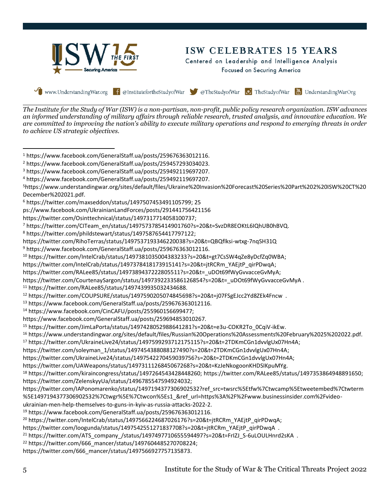

*The Institute for the Study of War (ISW) is a non-partisan, non-profit, public policy research organization. ISW advances an informed understanding of military affairs through reliable research, trusted analysis, and innovative education. We are committed to improving the nation's ability to execute military operations and respond to emerging threats in order to achieve US strategic objectives.*

ps://www.facebook.com/UkrainianLandForces/posts/291441756421156

https://twitter.com/Osinttechnical/status/1497317714058100737;

```
https://twitter.com/CourtenaySargon/status/1497392233586126854?s=20&t=_uDOt69fWyGvvacceGvMyA.
```

```
11 https://twitter.com/RALee85/status/1497439935032434688.
```

```
12 https://twitter.com/COUPSURE/status/1497590205074845698?s=20&t=j07FSgEJcc2Yd8ZEk4Fncw .
```
- <sup>13</sup> https://www.facebook.com/GeneralStaff.ua/posts/259676363012116.
- <sup>14</sup> https://www.facebook.com/CinCAFU/posts/255960156699477;
- https://www.facebook.com/GeneralStaff.ua/posts/259694853010267.

<sup>15</sup> https://twitter.com/JimLaPorta/status/1497428052988641281?s=20&t=e3u-COKR2To\_0CqiV-ikEw.

<sup>16</sup> https://www.understandingwar.org/sites/default/files/Russian%20Operations%20Assessments%20February%2025%202022.pdf.

```
17 https://twitter.com/UkraineLive24/status/1497599293712175115?s=20&t=2TDKmCGn1dvvlgUx07Hn4A;
```

```
https://twitter.com/soleyman_1/status/1497454388088127490?s=20&t=2TDKmCGn1dvvlgUx07Hn4A;
```

```
https://twitter.com/UkraineLive24/status/1497542270459039756?s=20&t=2TDKmCGn1dvvlgUx07Hn4A;
```

```
https://twitter.com/UAWeapons/status/1497311126845067268?s=20&t=KzJeNkogoonKHDSIKpuMYg.
```

```
18 https://twitter.com/kiraincongress/status/1497264543428448260; https://twitter.com/RALee85/status/1497353864948891650; 
https://twitter.com/ZelenskyyUa/status/1496785547594924032;
```

```
https://twitter.com/IAPonomarenko/status/1497194377306902532?ref_src=twsrc%5Etfw%7Ctwcamp%5Etweetembed%7Ctwterm
%5E1497194377306902532%7Ctwgr%5E%7Ctwcon%5Es1_&ref_url=https%3A%2F%2Fwww.businessinsider.com%2Fvideo-
```

```
ukrainian-men-help-themselves-to-guns-in-kyiv-as-russia-attacks-2022-2.
```

```
19 https://www.facebook.com/GeneralStaff.ua/posts/259676363012116.
```

```
<sup>20</sup> https://twitter.com/IntelCrab/status/1497566224687026176?s=20&t=jtRCRm_YAEjtP_qirPDwqA;
```

```
https://twitter.com/loogunda/status/1497542551271837708?s=20&t=jtRCRm_YAEjtP_qirPDwqA .
```

```
<sup>21</sup> https://twitter.com/ATS_company_/status/1497497710655594497?s=20&t=FrIZJ_S-6uLOULHnrd2sKA .
```

```
22 https://twitter.com/666_mancer/status/1497604485270708224;
```

```
https://twitter.com/666_mancer/status/1497566927757135873.
```
<sup>1</sup> https://www.facebook.com/GeneralStaff.ua/posts/259676363012116.

<sup>2</sup> https://www.facebook.com/GeneralStaff.ua/posts/259457293034023.

<sup>3</sup> https://www.facebook.com/GeneralStaff.ua/posts/259492119697207.

<sup>4</sup> https://www.facebook.com/GeneralStaff.ua/posts/259492119697207.

<sup>5</sup>https://www.understandingwar.org/sites/default/files/Ukraine%20Invasion%20Forecast%20Series%20Part%202%20ISW%20CT%20 December%202021.pdf.

<sup>6</sup> https://twitter.com/maxseddon/status/1497507453491105799; 25

<sup>7</sup> https://twitter.com/CITeam\_en/status/1497573785414901760?s=20&t=SvzDR8EOKtL6IQhUB0hBVQ.

<sup>8</sup> https://twitter.com/phildstewart/status/1497587654417797122;

https://twitter.com/RihoTerras/status/1497537193346220038?s=20&t=QBQflksi-wtxg-7nqSH31Q

<sup>9</sup> https://www.facebook.com/GeneralStaff.ua/posts/259676363012116.

<sup>10</sup> https://twitter.com/IntelCrab/status/1497381035004383233?s=20&t=gt7CsSW4qZe8yDcfZq0WBA;

https://twitter.com/IntelCrab/status/1497378418173915141?s=20&t=jtRCRm\_YAEjtP\_qirPDwqA;

https://twitter.com/RALee85/status/1497389437222805511?s=20&t=\_uDOt69fWyGvvacceGvMyA;